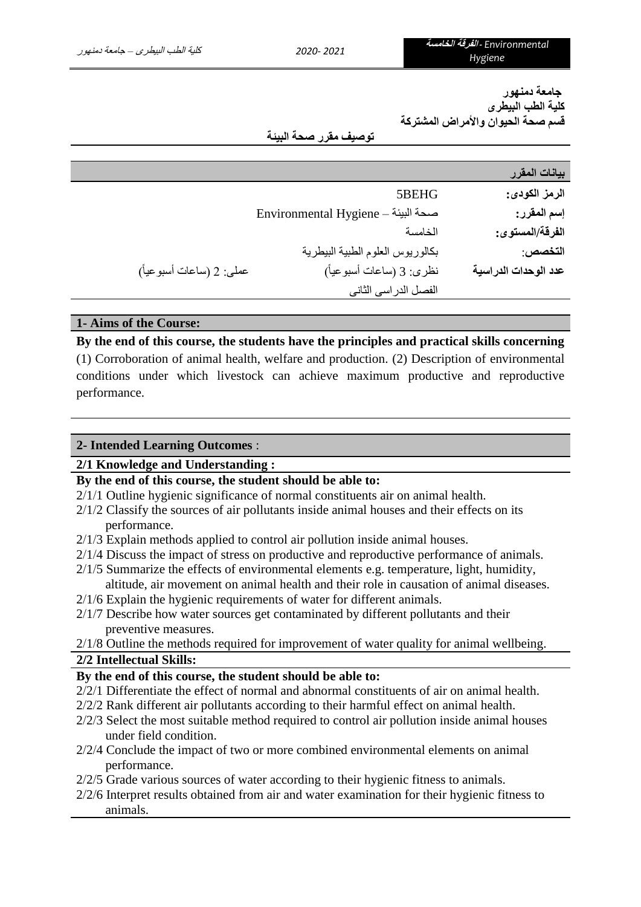**جامعة دمنهور كلية الطب البيطرى قسم صحة الحيوان واألمراض المشتركة**

### **توصيف مقرر صحة البيئة**

| بيانات المقرر        |                                    |                          |
|----------------------|------------------------------------|--------------------------|
| الرمز الكودي:        | 5BEHG                              |                          |
| إسم المقرر:          | Environmental Hygiene - صحة البيئة |                          |
| الفرقة/المستوى:      | الخامسة                            |                          |
| التخصص:              | بكالوريوس العلوم الطبية البيطرية   |                          |
| عدد الوحدات الدراسية | نظري: 3 (ساعات أسبوعياً)           | عملي: 2 (ساعات أسبوعياً) |
|                      | الفصل الدراسي الثاني               |                          |
|                      |                                    |                          |

# **1- Aims of the Course:**

**By the end of this course, the students have the principles and practical skills concerning**  (1) Corroboration of animal health, welfare and production. (2) Description of environmental conditions under which livestock can achieve maximum productive and reproductive performance.

# **2- Intended Learning Outcomes** :

### **2/1 Knowledge and Understanding :**

- **By the end of this course, the student should be able to:**
- 2/1/1 Outline hygienic significance of normal constituents air on animal health.
- 2/1/2 Classify the sources of air pollutants inside animal houses and their effects on its performance.
- 2/1/3 Explain methods applied to control air pollution inside animal houses.
- 2/1/4 Discuss the impact of stress on productive and reproductive performance of animals.
- 2/1/5 Summarize the effects of environmental elements e.g. temperature, light, humidity, altitude, air movement on animal health and their role in causation of animal diseases.
- 2/1/6 Explain the hygienic requirements of water for different animals.
- 2/1/7 Describe how water sources get contaminated by different pollutants and their preventive measures.

 $2/1/8$  Outline the methods required for improvement of water quality for animal wellbeing. **2/2 Intellectual Skills:**

# **By the end of this course, the student should be able to:**

- 2/2/1 Differentiate the effect of normal and abnormal constituents of air on animal health.
- 2/2/2 Rank different air pollutants according to their harmful effect on animal health.
- 2/2/3 Select the most suitable method required to control air pollution inside animal houses under field condition.
- 2/2/4 Conclude the impact of two or more combined environmental elements on animal performance.
- 2/2/5 Grade various sources of water according to their hygienic fitness to animals.
- 2/2/6 Interpret results obtained from air and water examination for their hygienic fitness to animals.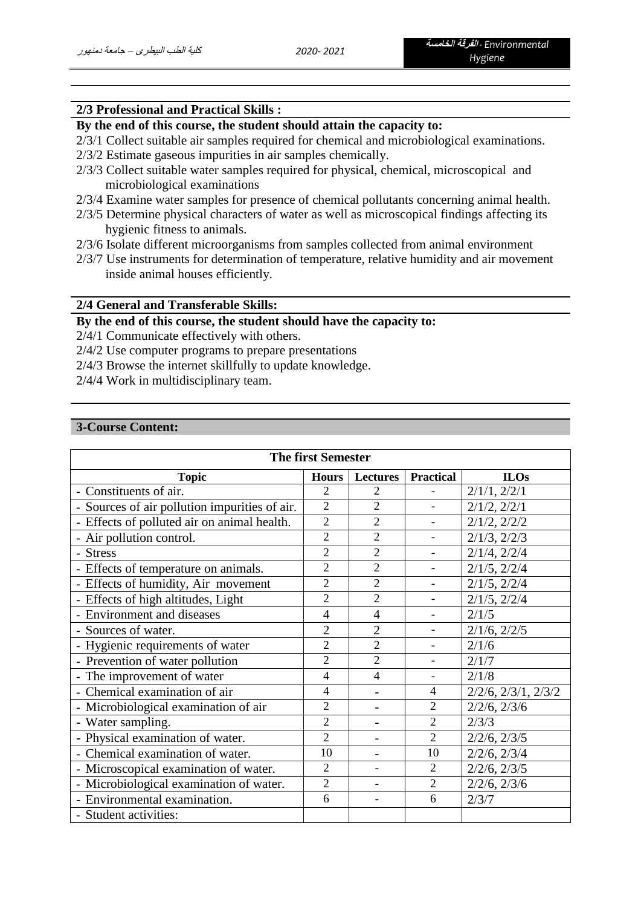### **2/3 Professional and Practical Skills :**

# **By the end of this course, the student should attain the capacity to:**

- 2/3/1 Collect suitable air samples required for chemical and microbiological examinations.
- 2/3/2 Estimate gaseous impurities in air samples chemically.
- 2/3/3 Collect suitable water samples required for physical, chemical, microscopical and microbiological examinations
- 2/3/4 Examine water samples for presence of chemical pollutants concerning animal health.
- 2/3/5 Determine physical characters of water as well as microscopical findings affecting its hygienic fitness to animals.
- 2/3/6 Isolate different microorganisms from samples collected from animal environment
- 2/3/7 Use instruments for determination of temperature, relative humidity and air movement inside animal houses efficiently.

### **2/4 General and Transferable Skills:**

# **By the end of this course, the student should have the capacity to:**

2/4/1 Communicate effectively with others.

- 2/4/2 Use computer programs to prepare presentations
- 2/4/3 Browse the internet skillfully to update knowledge.
- 2/4/4 Work in multidisciplinary team.

# **3-Course Content:**

| <b>The first Semester</b>                     |                                 |                |                          |                             |  |
|-----------------------------------------------|---------------------------------|----------------|--------------------------|-----------------------------|--|
| <b>Topic</b>                                  | <b>Lectures</b><br><b>Hours</b> |                | <b>Practical</b>         | <b>ILOs</b>                 |  |
| - Constituents of air.                        | $\overline{2}$                  | 2              |                          | $2/1/1$ , $2/2/1$           |  |
| - Sources of air pollution impurities of air. | $\overline{2}$                  | $\overline{2}$ |                          | $2/1/2$ , $2/2/1$           |  |
| - Effects of polluted air on animal health.   | $\overline{2}$                  | $\overline{2}$ |                          | $2/1/2$ , $2/2/2$           |  |
| - Air pollution control.                      | $\overline{c}$                  | $\overline{2}$ |                          | $2/1/3$ , $2/2/3$           |  |
| - Stress                                      | $\overline{2}$                  | $\overline{2}$ |                          | $2/1/4$ , $2/2/4$           |  |
| - Effects of temperature on animals.          | $\overline{c}$                  | $\overline{2}$ | $\overline{a}$           | $2/1/5$ , $2/2/4$           |  |
| - Effects of humidity, Air movement           | $\overline{c}$                  | $\overline{2}$ | $\overline{\phantom{0}}$ | $2/1/5$ , $2/2/4$           |  |
| - Effects of high altitudes, Light            | $\overline{2}$                  | $\overline{2}$ | $\overline{a}$           | $2/1/5$ , $2/2/4$           |  |
| - Environment and diseases                    | $\overline{4}$                  | $\overline{4}$ | $\blacksquare$           | 2/1/5                       |  |
| - Sources of water.                           | $\overline{2}$                  | $\overline{2}$ | $\overline{\phantom{0}}$ | $2/1/6$ , $2/2/5$           |  |
| - Hygienic requirements of water              | $\overline{2}$                  | $\overline{2}$ |                          | 2/1/6                       |  |
| - Prevention of water pollution               | $\overline{2}$                  | $\overline{2}$ |                          | 2/1/7                       |  |
| - The improvement of water                    | 4                               | 4              |                          | 2/1/8                       |  |
| - Chemical examination of air                 | 4                               |                | 4                        | $2/2/6$ , $2/3/1$ , $2/3/2$ |  |
| - Microbiological examination of air          | $\overline{2}$                  |                | $\overline{2}$           | $2/2/6$ , $2/3/6$           |  |
| - Water sampling.                             | $\overline{2}$                  |                | $\overline{2}$           | 2/3/3                       |  |
| - Physical examination of water.              | $\overline{2}$                  |                | $\overline{2}$           | $2/2/6$ , $2/3/5$           |  |
| - Chemical examination of water.              | 10                              |                | 10                       | $2/2/6$ , $2/3/4$           |  |
| - Microscopical examination of water.         | $\overline{2}$                  |                | $\overline{2}$           | $2/2/6$ , $2/3/5$           |  |
| - Microbiological examination of water.       | $\overline{2}$                  |                | $\overline{2}$           | $2/2/6$ , $2/3/6$           |  |
| - Environmental examination.                  | 6                               |                | 6                        | 2/3/7                       |  |
| - Student activities:                         |                                 |                |                          |                             |  |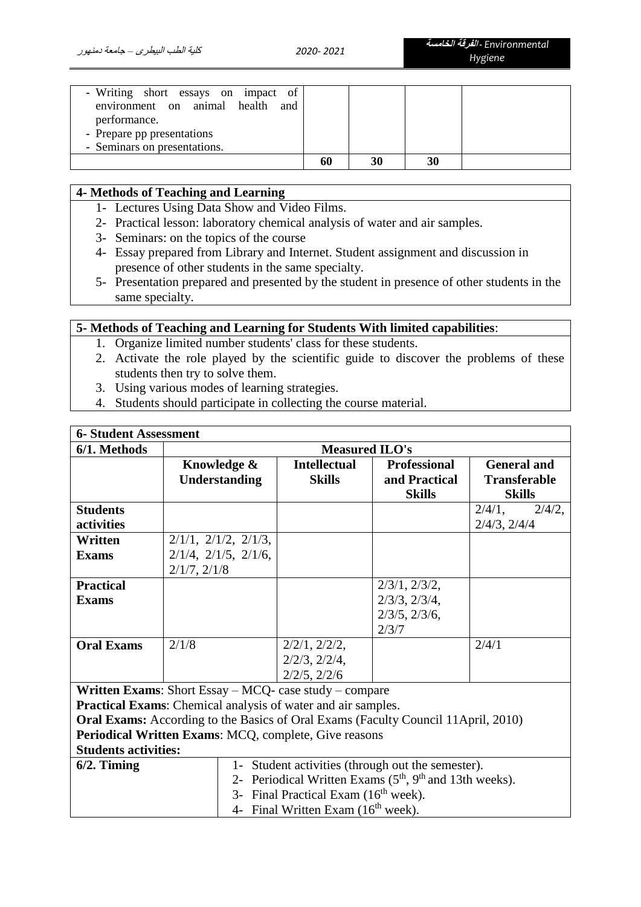| - Writing short essays on impact of<br>environment on animal health and<br>performance.<br>- Prepare pp presentations |    |    |    |  |
|-----------------------------------------------------------------------------------------------------------------------|----|----|----|--|
| - Seminars on presentations.                                                                                          |    |    |    |  |
|                                                                                                                       | 60 | 30 | 30 |  |

# **4- Methods of Teaching and Learning**

- 1- Lectures Using Data Show and Video Films.
- 2- Practical lesson: laboratory chemical analysis of water and air samples.
- 3- Seminars: on the topics of the course
- 4- Essay prepared from Library and Internet. Student assignment and discussion in presence of other students in the same specialty.
- 5- Presentation prepared and presented by the student in presence of other students in the same specialty.

# **5- Methods of Teaching and Learning for Students With limited capabilities**:

- 1. Organize limited number students' class for these students.
- 2. Activate the role played by the scientific guide to discover the problems of these students then try to solve them.
- 3. Using various modes of learning strategies.
- 4. Students should participate in collecting the course material.

| <b>6- Student Assessment</b> |                                                                                          |                       |                                |                                      |  |  |  |
|------------------------------|------------------------------------------------------------------------------------------|-----------------------|--------------------------------|--------------------------------------|--|--|--|
| 6/1. Methods                 |                                                                                          | <b>Measured ILO's</b> |                                |                                      |  |  |  |
|                              | Knowledge &                                                                              | <b>Intellectual</b>   | <b>Professional</b>            | <b>General and</b>                   |  |  |  |
|                              | <b>Understanding</b>                                                                     | <b>Skills</b>         | and Practical<br><b>Skills</b> | <b>Transferable</b><br><b>Skills</b> |  |  |  |
| <b>Students</b>              |                                                                                          |                       |                                | $2/4/1$ ,<br>$2/4/2$ ,               |  |  |  |
|                              |                                                                                          |                       |                                |                                      |  |  |  |
| activities                   |                                                                                          |                       |                                | $2/4/3$ , $2/4/4$                    |  |  |  |
| Written                      | $2/1/1$ , $2/1/2$ , $2/1/3$ ,                                                            |                       |                                |                                      |  |  |  |
| <b>Exams</b>                 | $2/1/4$ , $2/1/5$ , $2/1/6$ ,                                                            |                       |                                |                                      |  |  |  |
|                              | $2/1/7$ , $2/1/8$                                                                        |                       |                                |                                      |  |  |  |
| <b>Practical</b>             |                                                                                          |                       | $2/3/1$ , $2/3/2$ ,            |                                      |  |  |  |
| <b>Exams</b>                 |                                                                                          |                       | $2/3/3$ , $2/3/4$ ,            |                                      |  |  |  |
|                              |                                                                                          |                       | $2/3/5$ , $2/3/6$ ,            |                                      |  |  |  |
|                              |                                                                                          |                       | 2/3/7                          |                                      |  |  |  |
|                              |                                                                                          |                       |                                |                                      |  |  |  |
| <b>Oral Exams</b>            | 2/1/8                                                                                    | $2/2/1$ , $2/2/2$ ,   |                                | 2/4/1                                |  |  |  |
|                              |                                                                                          | $2/2/3$ , $2/2/4$ ,   |                                |                                      |  |  |  |
|                              |                                                                                          | $2/2/5$ , $2/2/6$     |                                |                                      |  |  |  |
|                              | <b>Written Exams:</b> Short Essay $-$ MCQ- case study $-$ compare                        |                       |                                |                                      |  |  |  |
|                              | Practical Exams: Chemical analysis of water and air samples.                             |                       |                                |                                      |  |  |  |
|                              | <b>Oral Exams:</b> According to the Basics of Oral Exams (Faculty Council 11April, 2010) |                       |                                |                                      |  |  |  |
|                              | Periodical Written Exams: MCQ, complete, Give reasons                                    |                       |                                |                                      |  |  |  |
| <b>Students activities:</b>  |                                                                                          |                       |                                |                                      |  |  |  |
| $6/2$ . Timing               | 1- Student activities (through out the semester).                                        |                       |                                |                                      |  |  |  |
|                              | 2- Periodical Written Exams (5 <sup>th</sup> , 9 <sup>th</sup> and 13th weeks).          |                       |                                |                                      |  |  |  |
|                              | 3- Final Practical Exam (16 <sup>th</sup> week).                                         |                       |                                |                                      |  |  |  |
|                              | 4- Final Written Exam (16 <sup>th</sup> week).                                           |                       |                                |                                      |  |  |  |